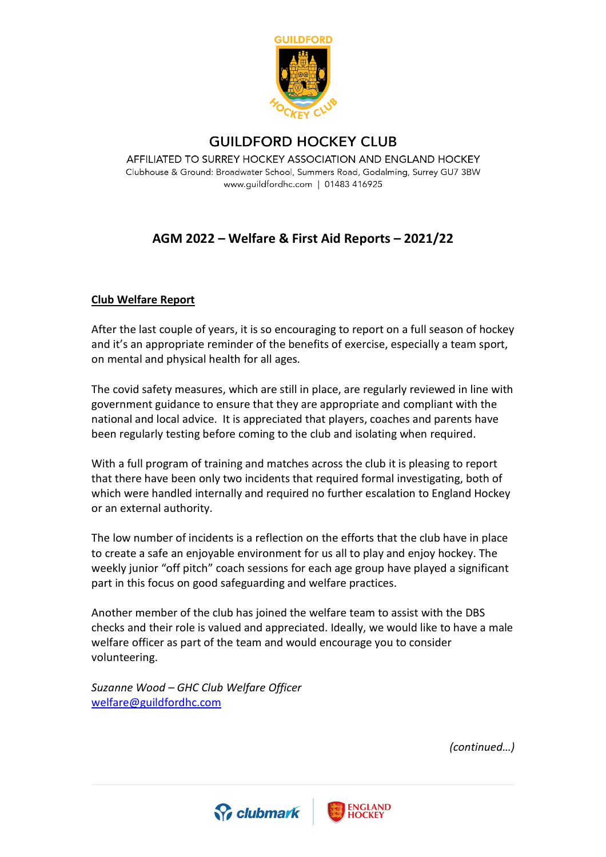

## **GUILDFORD HOCKEY CLUB**

AFFILIATED TO SURREY HOCKEY ASSOCIATION AND ENGLAND HOCKEY Clubhouse & Ground: Broadwater School, Summers Road, Godalming, Surrey GU7 3BW www.guildfordhc.com | 01483 416925

## **AGM 2022 – Welfare & First Aid Reports – 2021/22**

## **Club Welfare Report**

After the last couple of years, it is so encouraging to report on a full season of hockey and it's an appropriate reminder of the benefits of exercise, especially a team sport, on mental and physical health for all ages.

The covid safety measures, which are still in place, are regularly reviewed in line with government guidance to ensure that they are appropriate and compliant with the national and local advice. It is appreciated that players, coaches and parents have been regularly testing before coming to the club and isolating when required.

With a full program of training and matches across the club it is pleasing to report that there have been only two incidents that required formal investigating, both of which were handled internally and required no further escalation to England Hockey or an external authority.

The low number of incidents is a reflection on the efforts that the club have in place to create a safe an enjoyable environment for us all to play and enjoy hockey. The weekly junior "off pitch" coach sessions for each age group have played a significant part in this focus on good safeguarding and welfare practices.

Another member of the club has joined the welfare team to assist with the DBS checks and their role is valued and appreciated. Ideally, we would like to have a male welfare officer as part of the team and would encourage you to consider volunteering.

*Suzanne Wood – GHC Club Welfare Officer* [welfare@guildfordhc.com](mailto:welfare@guildfordhc.com)

*(continued…)*